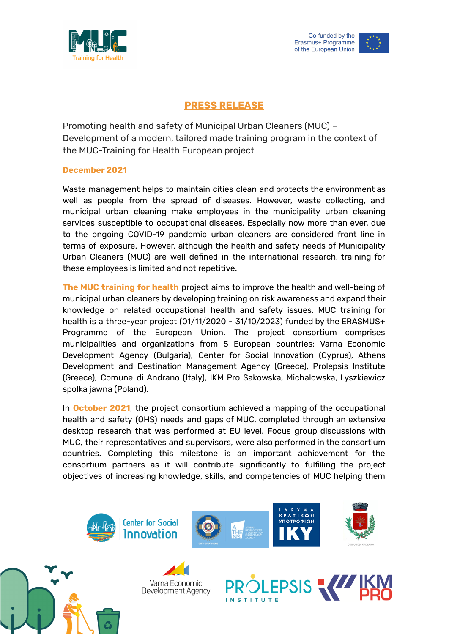

## **PRESS RELEASE**

Promoting health and safety of Municipal Urban Cleaners (MUC) – Development of a modern, tailored made training program in the context of the MUC-Training for Health European project

## **December 2021**

Waste management helps to maintain cities clean and protects the environment as well as people from the spread of diseases. However, waste collecting, and municipal urban cleaning make employees in the municipality urban cleaning services susceptible to occupational diseases. Especially now more than ever, due to the ongoing COVID-19 pandemic urban cleaners are considered front line in terms of exposure. However, although the health and safety needs of Municipality Urban Cleaners (MUC) are well defined in the international research, training for these employees is limited and not repetitive.

**The MUC training for health** project aims to improve the health and well-being of municipal urban cleaners by developing training on risk awareness and expand their knowledge on related occupational health and safety issues. MUC training for health is a three-year project (01/11/2020 - 31/10/2023) funded by the ERASMUS+ Programme of the European Union. The project consortium comprises municipalities and organizations from 5 European countries: Varna Economic Development Agency (Bulgaria), Center for Social Innovation (Cyprus), Athens Development and Destination Management Agency (Greece), Prolepsis Institute (Greece), Comune di Andrano (Italy), IKM Pro Sakowska, Michalowska, Lyszkiewicz spolka jawna (Poland).

In **October 2021**, the project consortium achieved a mapping of the occupational health and safety (OHS) needs and gaps of MUC, completed through an extensive desktop research that was performed at EU level. Focus group discussions with MUC, their representatives and supervisors, were also performed in the consortium countries. Completing this milestone is an important achievement for the consortium partners as it will contribute significantly to fulfilling the project objectives of increasing knowledge, skills, and competencies of MUC helping them